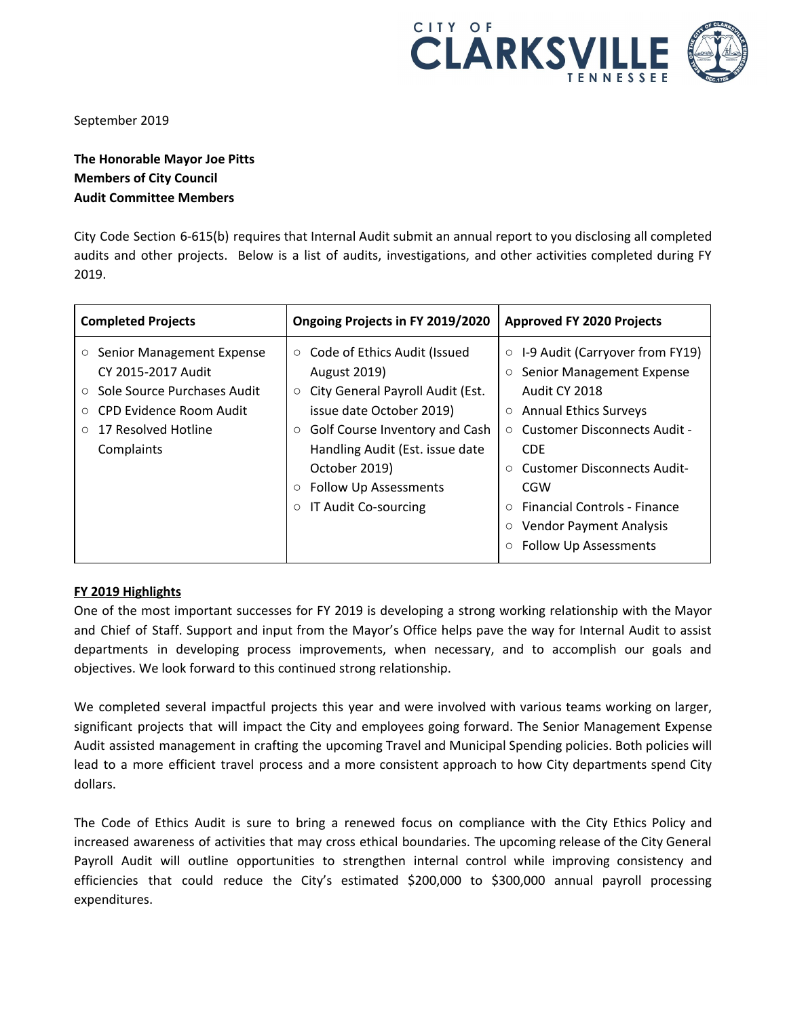

September 2019

## **The Honorable Mayor Joe Pitts Members of City Council Audit Committee Members**

City Code Section 6-615(b) requires that Internal Audit submit an annual report to you disclosing all completed audits and other projects. Below is a list of audits, investigations, and other activities completed during FY 2019.

| <b>Completed Projects</b>                                                                                                                                                         | Ongoing Projects in FY 2019/2020                                                                                                                                                                                                                                                                         | <b>Approved FY 2020 Projects</b>                                                                                                                                                                                                                                                                                                  |
|-----------------------------------------------------------------------------------------------------------------------------------------------------------------------------------|----------------------------------------------------------------------------------------------------------------------------------------------------------------------------------------------------------------------------------------------------------------------------------------------------------|-----------------------------------------------------------------------------------------------------------------------------------------------------------------------------------------------------------------------------------------------------------------------------------------------------------------------------------|
| ○ Senior Management Expense<br>CY 2015-2017 Audit<br>Sole Source Purchases Audit<br>$\circ$<br>CPD Evidence Room Audit<br>$\circ$<br>17 Resolved Hotline<br>$\circ$<br>Complaints | ○ Code of Ethics Audit (Issued<br><b>August 2019)</b><br>City General Payroll Audit (Est.<br>$\circ$<br>issue date October 2019)<br>Golf Course Inventory and Cash<br>$\circ$<br>Handling Audit (Est. issue date<br>October 2019)<br>Follow Up Assessments<br>$\circ$<br>IT Audit Co-sourcing<br>$\circ$ | $\circ$ I-9 Audit (Carryover from FY19)<br>Senior Management Expense<br>$\circ$<br>Audit CY 2018<br><b>Annual Ethics Surveys</b><br>$\circ$<br><b>Customer Disconnects Audit -</b><br>$\circ$<br><b>CDF</b><br><b>Customer Disconnects Audit-</b><br>CGW<br><b>Financial Controls - Finance</b><br><b>Vendor Payment Analysis</b> |
|                                                                                                                                                                                   |                                                                                                                                                                                                                                                                                                          | <b>Follow Up Assessments</b>                                                                                                                                                                                                                                                                                                      |

## **FY 2019 Highlights**

One of the most important successes for FY 2019 is developing a strong working relationship with the Mayor and Chief of Staff. Support and input from the Mayor's Office helps pave the way for Internal Audit to assist departments in developing process improvements, when necessary, and to accomplish our goals and objectives. We look forward to this continued strong relationship.

We completed several impactful projects this year and were involved with various teams working on larger, significant projects that will impact the City and employees going forward. The Senior Management Expense Audit assisted management in crafting the upcoming Travel and Municipal Spending policies. Both policies will lead to a more efficient travel process and a more consistent approach to how City departments spend City dollars.

The Code of Ethics Audit is sure to bring a renewed focus on compliance with the City Ethics Policy and increased awareness of activities that may cross ethical boundaries. The upcoming release of the City General Payroll Audit will outline opportunities to strengthen internal control while improving consistency and efficiencies that could reduce the City's estimated \$200,000 to \$300,000 annual payroll processing expenditures.